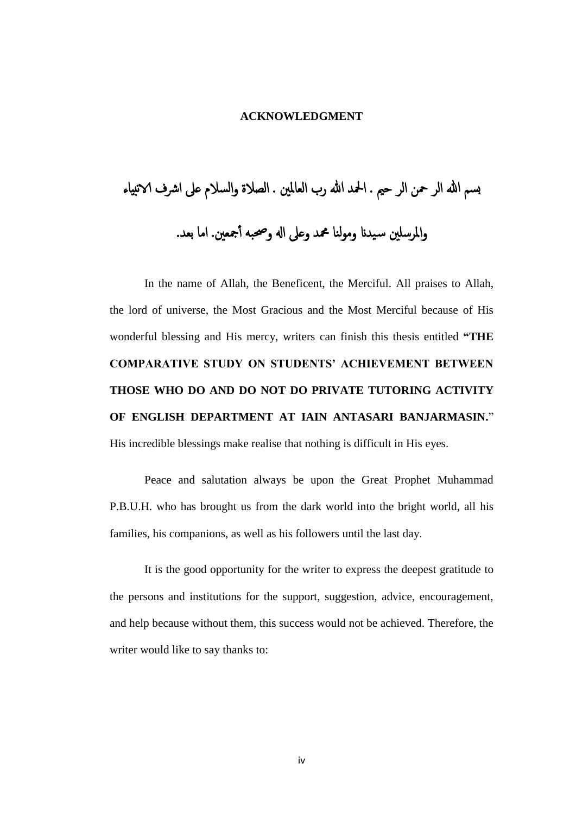## **ACKNOWLEDGMENT**

بسم هللا الر محن الر حمي . امحلد هللا رب العاملني . الصالة والسالم عىل ارشف الانبياء واملرسلني س يدان ومولنا محمد وعىل اهل وحصبه أ مجعني. اما بعد.

In the name of Allah, the Beneficent, the Merciful. All praises to Allah, the lord of universe, the Most Gracious and the Most Merciful because of His wonderful blessing and His mercy, writers can finish this thesis entitled **"THE COMPARATIVE STUDY ON STUDENTS' ACHIEVEMENT BETWEEN THOSE WHO DO AND DO NOT DO PRIVATE TUTORING ACTIVITY OF ENGLISH DEPARTMENT AT IAIN ANTASARI BANJARMASIN.**" His incredible blessings make realise that nothing is difficult in His eyes.

Peace and salutation always be upon the Great Prophet Muhammad P.B.U.H. who has brought us from the dark world into the bright world, all his families, his companions, as well as his followers until the last day.

It is the good opportunity for the writer to express the deepest gratitude to the persons and institutions for the support, suggestion, advice, encouragement, and help because without them, this success would not be achieved. Therefore, the writer would like to say thanks to: